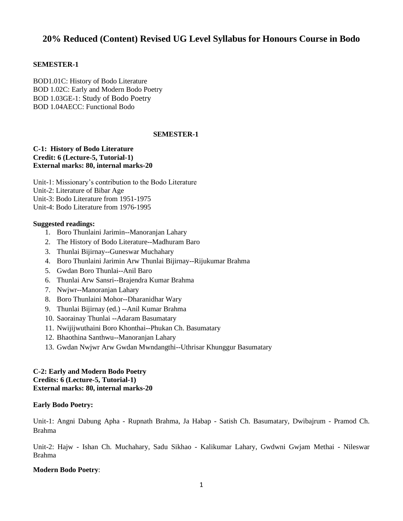# **20% Reduced (Content) Revised UG Level Syllabus for Honours Course in Bodo**

## **SEMESTER-1**

BOD1.01C: History of Bodo Literature BOD 1.02C: Early and Modern Bodo Poetry BOD 1.03GE-1: Study of Bodo Poetry BOD 1.04AECC: Functional Bodo

## **SEMESTER-1**

#### **C-1: History of Bodo Literature Credit: 6 (Lecture-5, Tutorial-1) External marks: 80, internal marks-20**

Unit-1: Missionary's contribution to the Bodo Literature Unit-2: Literature of Bibar Age Unit-3: Bodo Literature from 1951-1975 Unit-4: Bodo Literature from 1976-1995

#### **Suggested readings:**

- 1. Boro Thunlaini Jarimin--Manoranjan Lahary
- 2. The History of Bodo Literature--Madhuram Baro
- 3. Thunlai Bijirnay--Guneswar Muchahary
- 4. Boro Thunlaini Jarimin Arw Thunlai Bijirnay--Rijukumar Brahma
- 5. Gwdan Boro Thunlai--Anil Baro
- 6. Thunlai Arw Sansri--Brajendra Kumar Brahma
- 7. Nwjwr--Manoranjan Lahary
- 8. Boro Thunlaini Mohor--Dharanidhar Wary
- 9. Thunlai Bijirnay (ed.) --Anil Kumar Brahma
- 10. Saorainay Thunlai --Adaram Basumatary
- 11. Nwijijwuthaini Boro Khonthai--Phukan Ch. Basumatary
- 12. Bhaothina Santhwu--Manoranjan Lahary
- 13. Gwdan Nwjwr Arw Gwdan Mwndangthi--Uthrisar Khunggur Basumatary

## **C-2: Early and Modern Bodo Poetry Credits: 6 (Lecture-5, Tutorial-1) External marks: 80, internal marks-20**

## **Early Bodo Poetry:**

Unit-1: Angni Dabung Apha - Rupnath Brahma, Ja Habap - Satish Ch. Basumatary, Dwibajrum - Pramod Ch. Brahma

Unit-2: Hajw - Ishan Ch. Muchahary, Sadu Sikhao - Kalikumar Lahary, Gwdwni Gwjam Methai - Nileswar Brahma

#### **Modern Bodo Poetry**: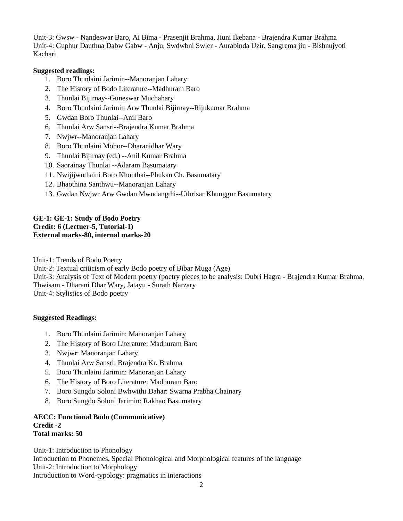Unit-3: Gwsw - Nandeswar Baro, Ai Bima - Prasenjit Brahma, Jiuni Ikebana - Brajendra Kumar Brahma Unit-4: Guphur Dauthua Dabw Gabw - Anju, Swdwbni Swler - Aurabinda Uzir, Sangrema jiu - Bishnujyoti Kachari

## **Suggested readings:**

- 1. Boro Thunlaini Jarimin--Manoranjan Lahary
- 2. The History of Bodo Literature--Madhuram Baro
- 3. Thunlai Bijirnay--Guneswar Muchahary
- 4. Boro Thunlaini Jarimin Arw Thunlai Bijirnay--Rijukumar Brahma
- 5. Gwdan Boro Thunlai--Anil Baro
- 6. Thunlai Arw Sansri--Brajendra Kumar Brahma
- 7. Nwjwr--Manoranjan Lahary
- 8. Boro Thunlaini Mohor--Dharanidhar Wary
- 9. Thunlai Bijirnay (ed.) --Anil Kumar Brahma
- 10. Saorainay Thunlai --Adaram Basumatary
- 11. Nwijijwuthaini Boro Khonthai--Phukan Ch. Basumatary
- 12. Bhaothina Santhwu--Manoranjan Lahary
- 13. Gwdan Nwjwr Arw Gwdan Mwndangthi--Uthrisar Khunggur Basumatary

## **GE-1: GE-1: Study of Bodo Poetry Credit: 6 (Lectuer-5, Tutorial-1) External marks-80, internal marks-20**

Unit-1: Trends of Bodo Poetry

Unit-2: Textual criticism of early Bodo poetry of Bibar Muga (Age)

Unit-3: Analysis of Text of Modern poetry (poetry pieces to be analysis: Dubri Hagra - Brajendra Kumar Brahma, Thwisam - Dharani Dhar Wary, Jatayu - Surath Narzary Unit-4: Stylistics of Bodo poetry

## **Suggested Readings:**

- 1. Boro Thunlaini Jarimin: Manoranjan Lahary
- 2. The History of Boro Literature: Madhuram Baro
- 3. Nwjwr: Manoranjan Lahary
- 4. Thunlai Arw Sansri: Brajendra Kr. Brahma
- 5. Boro Thunlaini Jarimin: Manoranjan Lahary
- 6. The History of Boro Literature: Madhuram Baro
- 7. Boro Sungdo Soloni Bwhwithi Dahar: Swarna Prabha Chainary
- 8. Boro Sungdo Soloni Jarimin: Rakhao Basumatary

#### **AECC: Functional Bodo (Communicative) Credit -2 Total marks: 50**

Unit-1: Introduction to Phonology Introduction to Phonemes, Special Phonological and Morphological features of the language Unit-2: Introduction to Morphology Introduction to Word-typology: pragmatics in interactions